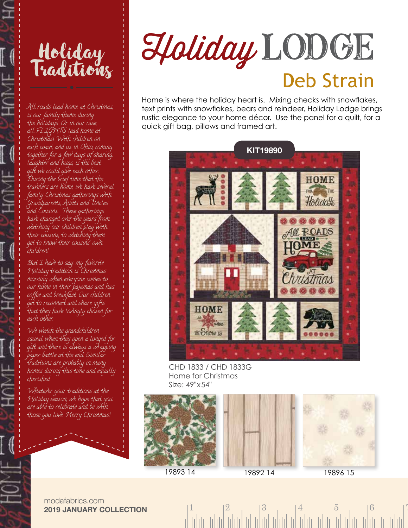



All roads lead home at Christmas, is our family theme during the holidays. Or in our case, all FLIGHTS lead home at Christmas! With children on each coast, and us in Ohio, coming together for a few days of sharing, laughter and hugs, is the best gift we could give each other. During the brief time that the travelers are home, we have several family Christmas gatherings with Grandparents, Aunts and Uncles and Cousins. These gatherings have changed over the years from watching our children play with their cousins, to watching them get to know their cousins' own children!

But I have to say, my favorite Holiday tradition is Christmas morning when everyone comes to our home in their pajamas and has coffee and breakfast. Our children get to reconnect and share gifts that they have lovingly chosen for each other.

We watch the grandchildren squeal when they open a longed for gift and there is always a wrapping paper battle at the end. Similar traditions are probably in many homes during this time and equally cherished.

Whatever your traditions at the Holiday season, we hope that you are able to celebrate and be with those you love. Merry Christmas!

## Holiday LODGE **Deb Strain**

Home is where the holiday heart is. Mixing checks with snowflakes, text prints with snowflakes, bears and reindeer, Holiday Lodge brings rustic elegance to your home décor. Use the panel for a quilt, for a quick gift bag, pillows and framed art.



CHD 1833 / CHD 1833G Home for Christmas Size: 49"x54"







19893 14 19892 14 19896 15

modafabrics.com **2019 JANUARY COLLECTION**

 $1 \t 2 \t 3 \t 4 \t 5 \t 6 \t 7$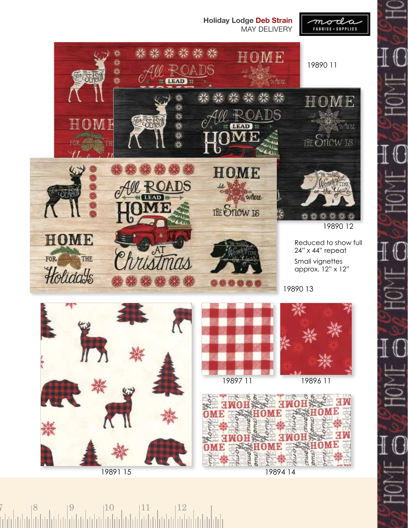

 $7 \t| 8 \t| 9 \t| 10 \t| 11 \t| 12$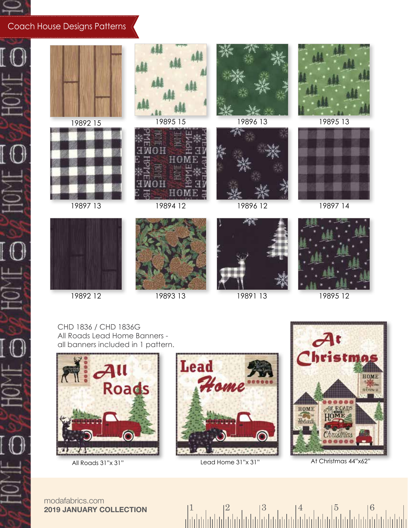

HOM

HOH

 $\overline{0}$ 

I O

## Coach House Designs Patterns



19892 12



19893 13 19891 13

19895 12

CHD 1836 / CHD 1836G All Roads Lead Home Banners all banners included in 1 pattern.





 $\begin{array}{c|c|c|c|c|c} & 2 & 3 & 4 \ \hline \end{array}$ 



All Roads 31"x 31" Lead Home 31"x 31" At Christmas 44"x62"

modafabrics.com **2019 JANUARY COLLECTION**